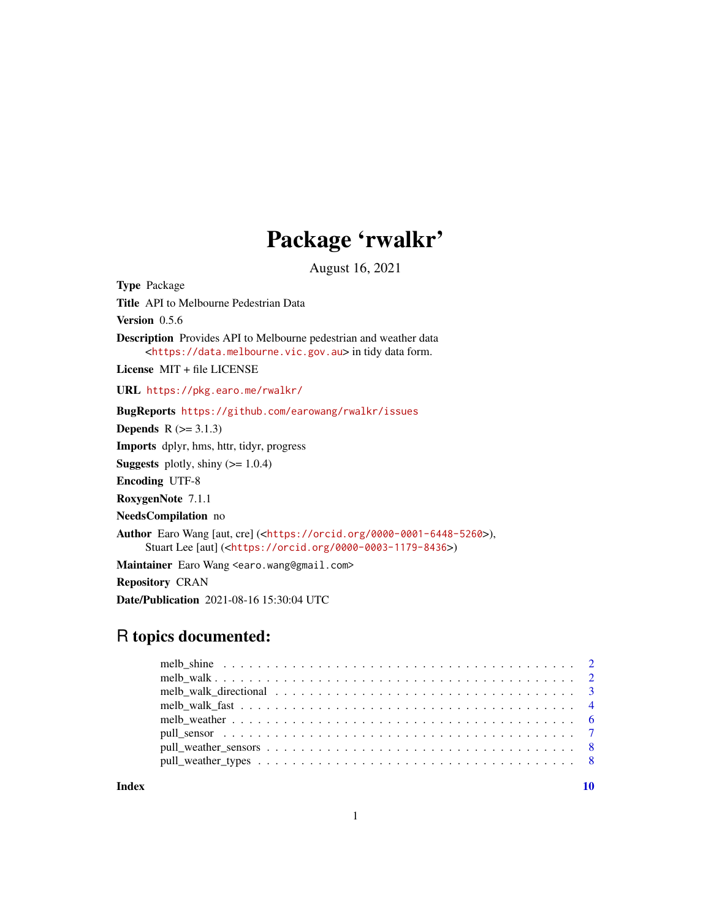## Package 'rwalkr'

August 16, 2021

Type Package Title API to Melbourne Pedestrian Data Version 0.5.6 Description Provides API to Melbourne pedestrian and weather data <<https://data.melbourne.vic.gov.au>> in tidy data form. License MIT + file LICENSE URL <https://pkg.earo.me/rwalkr/> BugReports <https://github.com/earowang/rwalkr/issues> **Depends**  $R$  ( $>= 3.1.3$ ) Imports dplyr, hms, httr, tidyr, progress **Suggests** plotly, shiny  $(>= 1.0.4)$ Encoding UTF-8 RoxygenNote 7.1.1 NeedsCompilation no Author Earo Wang [aut, cre] (<<https://orcid.org/0000-0001-6448-5260>>), Stuart Lee [aut] (<<https://orcid.org/0000-0003-1179-8436>>) Maintainer Earo Wang <earo.wang@gmail.com> Repository CRAN Date/Publication 2021-08-16 15:30:04 UTC

## R topics documented:

 $\blacksquare$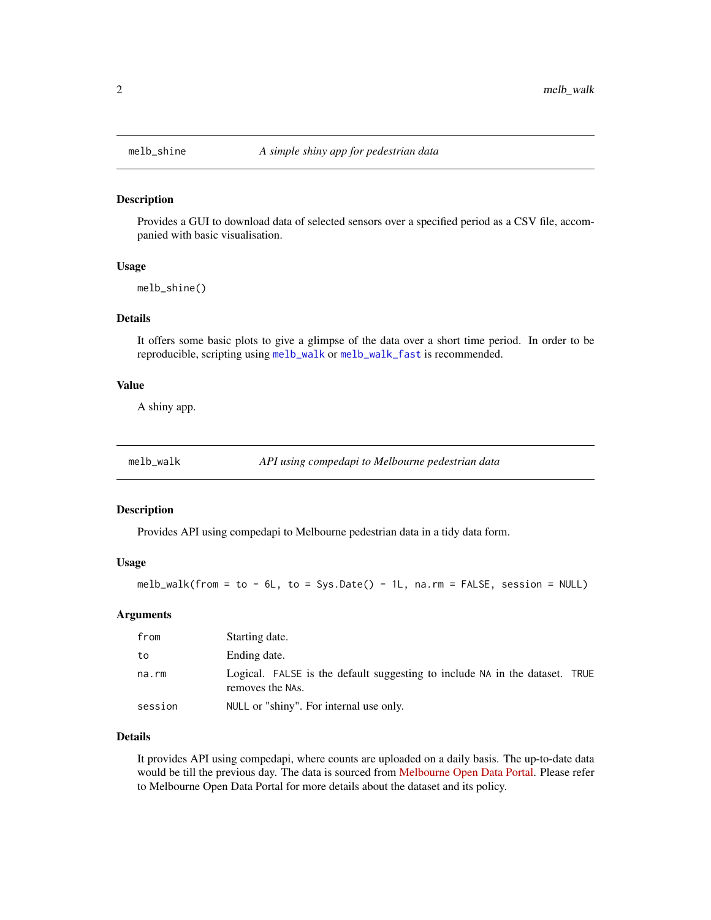#### Description

Provides a GUI to download data of selected sensors over a specified period as a CSV file, accompanied with basic visualisation.

#### Usage

melb\_shine()

#### Details

It offers some basic plots to give a glimpse of the data over a short time period. In order to be reproducible, scripting using [melb\\_walk](#page-1-1) or [melb\\_walk\\_fast](#page-3-1) is recommended.

#### Value

A shiny app.

<span id="page-1-1"></span>melb\_walk *API using compedapi to Melbourne pedestrian data*

#### Description

Provides API using compedapi to Melbourne pedestrian data in a tidy data form.

#### Usage

melb\_walk(from = to - 6L, to = Sys.Date() - 1L, na.rm = FALSE, session = NULL)

#### Arguments

| from    | Starting date.                                                                                  |  |
|---------|-------------------------------------------------------------------------------------------------|--|
| to      | Ending date.                                                                                    |  |
| na.rm   | Logical. FALSE is the default suggesting to include NA in the dataset. TRUE<br>removes the NAs. |  |
| session | NULL or "shiny". For internal use only.                                                         |  |

#### Details

It provides API using compedapi, where counts are uploaded on a daily basis. The up-to-date data would be till the previous day. The data is sourced from [Melbourne Open Data Portal.](https://data.melbourne.vic.gov.au/Transport-Movement/Pedestrian-volume-updated-monthly-/b2ak-trbp) Please refer to Melbourne Open Data Portal for more details about the dataset and its policy.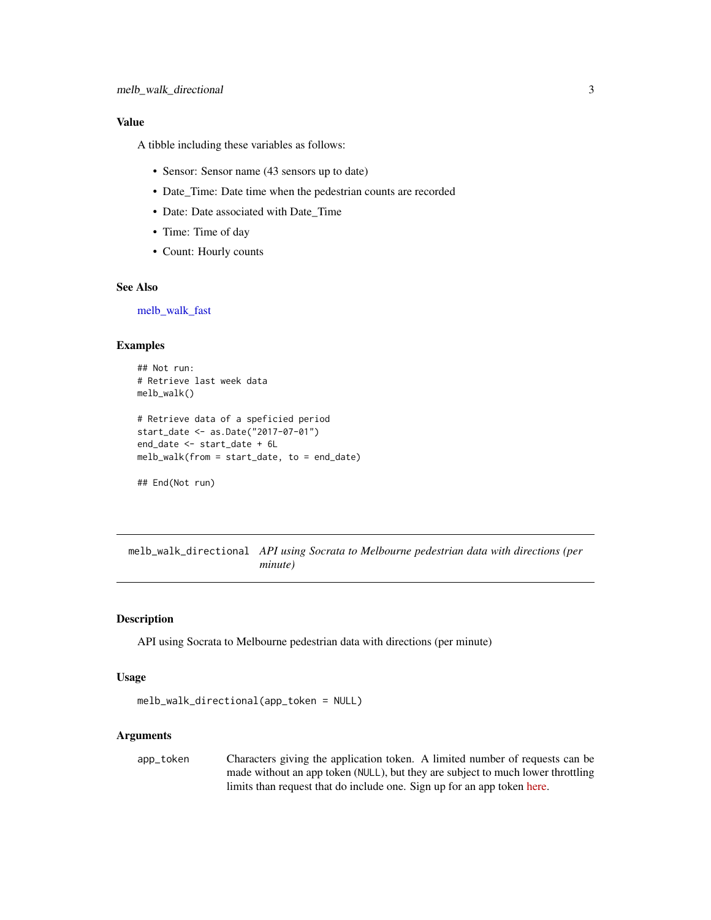#### <span id="page-2-0"></span>Value

A tibble including these variables as follows:

- Sensor: Sensor name (43 sensors up to date)
- Date\_Time: Date time when the pedestrian counts are recorded
- Date: Date associated with Date\_Time
- Time: Time of day
- Count: Hourly counts

#### See Also

[melb\\_walk\\_fast](#page-3-1)

#### Examples

```
## Not run:
# Retrieve last week data
melb_walk()
# Retrieve data of a speficied period
start_date <- as.Date("2017-07-01")
end_date <- start_date + 6L
melb_walk(from = start_date, to = end_date)
## End(Not run)
```
melb\_walk\_directional *API using Socrata to Melbourne pedestrian data with directions (per minute)*

#### Description

API using Socrata to Melbourne pedestrian data with directions (per minute)

#### Usage

```
melb_walk_directional(app_token = NULL)
```
#### Arguments

app\_token Characters giving the application token. A limited number of requests can be made without an app token (NULL), but they are subject to much lower throttling limits than request that do include one. Sign up for an app token [here.](https://data.melbourne.vic.gov.au/profile/app_tokens)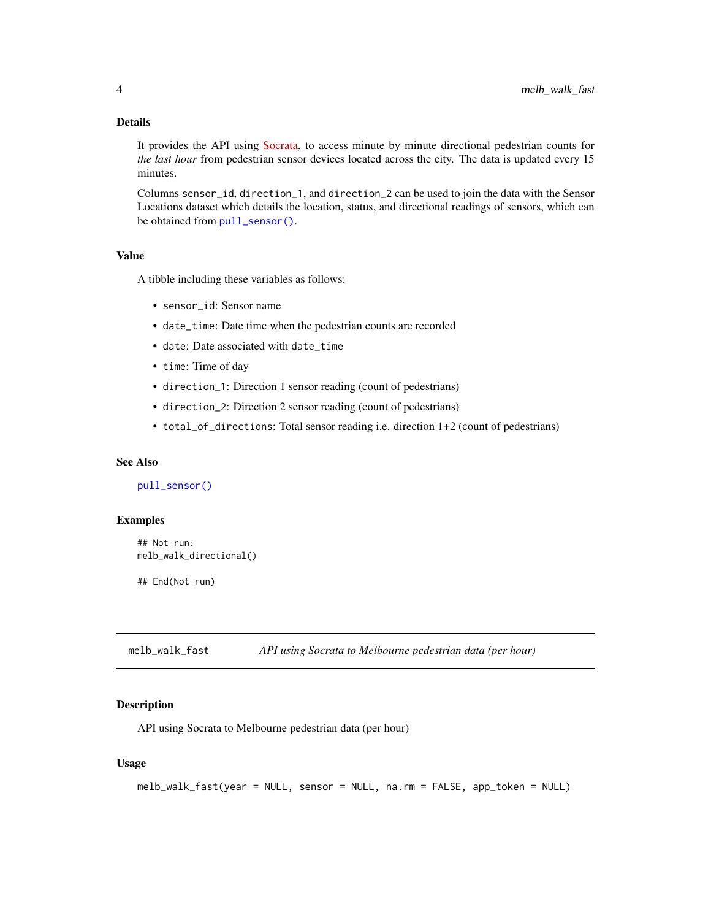#### <span id="page-3-0"></span>Details

It provides the API using [Socrata,](https://dev.socrata.com/foundry/data.melbourne.vic.gov.au/d6mv-s43h) to access minute by minute directional pedestrian counts for *the last hour* from pedestrian sensor devices located across the city. The data is updated every 15 minutes.

Columns sensor\_id, direction\_1, and direction\_2 can be used to join the data with the Sensor Locations dataset which details the location, status, and directional readings of sensors, which can be obtained from [pull\\_sensor\(\)](#page-6-1).

#### Value

A tibble including these variables as follows:

- sensor\_id: Sensor name
- date\_time: Date time when the pedestrian counts are recorded
- date: Date associated with date\_time
- time: Time of day
- direction\_1: Direction 1 sensor reading (count of pedestrians)
- direction\_2: Direction 2 sensor reading (count of pedestrians)
- total\_of\_directions: Total sensor reading i.e. direction 1+2 (count of pedestrians)

#### See Also

```
pull_sensor()
```
#### Examples

```
## Not run:
melb_walk_directional()
```
## End(Not run)

<span id="page-3-1"></span>melb\_walk\_fast *API using Socrata to Melbourne pedestrian data (per hour)*

#### **Description**

API using Socrata to Melbourne pedestrian data (per hour)

#### Usage

```
melb_walk_fast(year = NULL, sensor = NULL, na.rm = FALSE, app_token = NULL)
```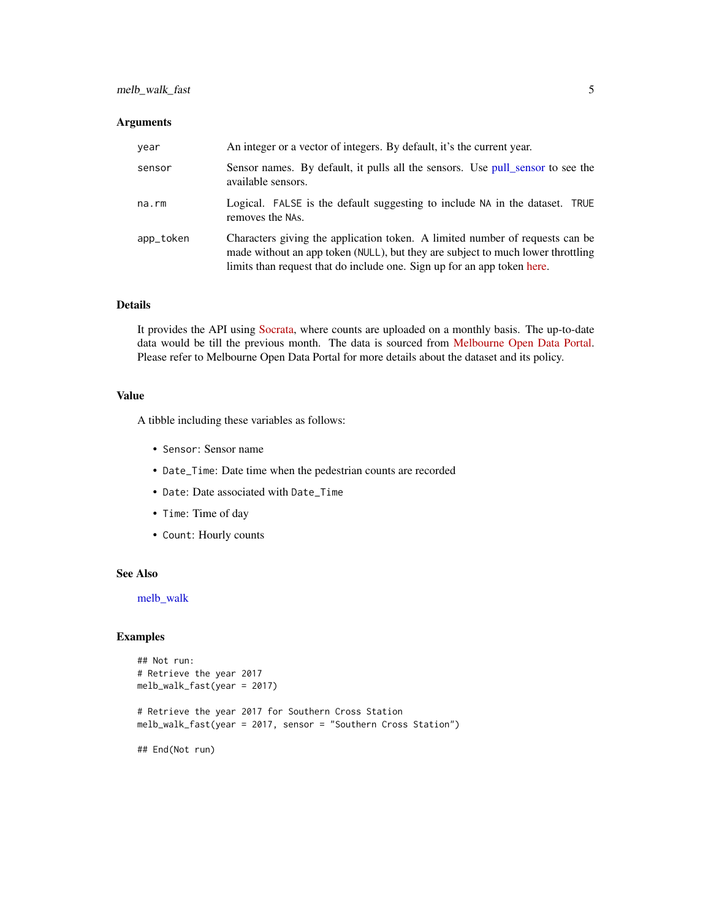#### <span id="page-4-0"></span>melb\_walk\_fast 5

#### Arguments

| year      | An integer or a vector of integers. By default, it's the current year.                                                                                                                                                                     |
|-----------|--------------------------------------------------------------------------------------------------------------------------------------------------------------------------------------------------------------------------------------------|
| sensor    | Sensor names. By default, it pulls all the sensors. Use pull_sensor to see the<br>available sensors.                                                                                                                                       |
| na.rm     | Logical. FALSE is the default suggesting to include NA in the dataset. TRUE<br>removes the NAs.                                                                                                                                            |
| app_token | Characters giving the application token. A limited number of requests can be<br>made without an app token (NULL), but they are subject to much lower throttling<br>limits than request that do include one. Sign up for an app token here. |

#### Details

It provides the API using [Socrata,](https://dev.socrata.com/foundry/data.melbourne.vic.gov.au/mxb8-wn4w) where counts are uploaded on a monthly basis. The up-to-date data would be till the previous month. The data is sourced from [Melbourne Open Data Portal.](https://data.melbourne.vic.gov.au/Transport-Movement/Pedestrian-volume-updated-monthly-/b2ak-trbp) Please refer to Melbourne Open Data Portal for more details about the dataset and its policy.

#### Value

A tibble including these variables as follows:

- Sensor: Sensor name
- Date\_Time: Date time when the pedestrian counts are recorded
- Date: Date associated with Date\_Time
- Time: Time of day
- Count: Hourly counts

#### See Also

[melb\\_walk](#page-1-1)

#### Examples

```
## Not run:
# Retrieve the year 2017
melb_walk_fast(year = 2017)
# Retrieve the year 2017 for Southern Cross Station
melb_walk_fast(year = 2017, sensor = "Southern Cross Station")
## End(Not run)
```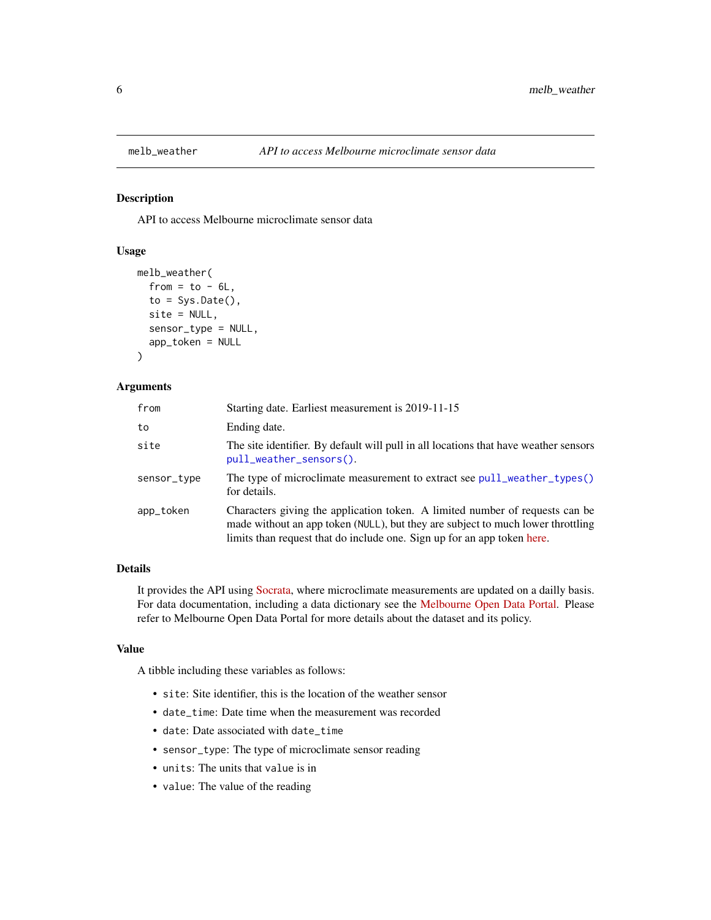<span id="page-5-1"></span><span id="page-5-0"></span>

#### Description

API to access Melbourne microclimate sensor data

#### Usage

```
melb_weather(
  from = to - 6L,to = Sys.DataFrame(),
  site = NULL,
  sensor_type = NULL,
  app_token = NULL
)
```
#### Arguments

| from        | Starting date. Earliest measurement is 2019-11-15                                                                                                                                                                                          |
|-------------|--------------------------------------------------------------------------------------------------------------------------------------------------------------------------------------------------------------------------------------------|
| to          | Ending date.                                                                                                                                                                                                                               |
| site        | The site identifier. By default will pull in all locations that have weather sensors<br>pull_weather_sensors().                                                                                                                            |
| sensor_type | The type of microclimate measurement to extract see pull_weather_types()<br>for details.                                                                                                                                                   |
| app_token   | Characters giving the application token. A limited number of requests can be<br>made without an app token (NULL), but they are subject to much lower throttling<br>limits than request that do include one. Sign up for an app token here. |

#### Details

It provides the API using [Socrata,](https://dev.socrata.com/foundry/data.melbourne.vic.gov.au/u4vh-84j8) where microclimate measurements are updated on a dailly basis. For data documentation, including a data dictionary see the [Melbourne Open Data Portal.](https://data.melbourne.vic.gov.au/Environment/Microclimate-Sensor-Readings/u4vh-84j8) Please refer to Melbourne Open Data Portal for more details about the dataset and its policy.

#### Value

A tibble including these variables as follows:

- site: Site identifier, this is the location of the weather sensor
- date\_time: Date time when the measurement was recorded
- date: Date associated with date\_time
- sensor\_type: The type of microclimate sensor reading
- units: The units that value is in
- value: The value of the reading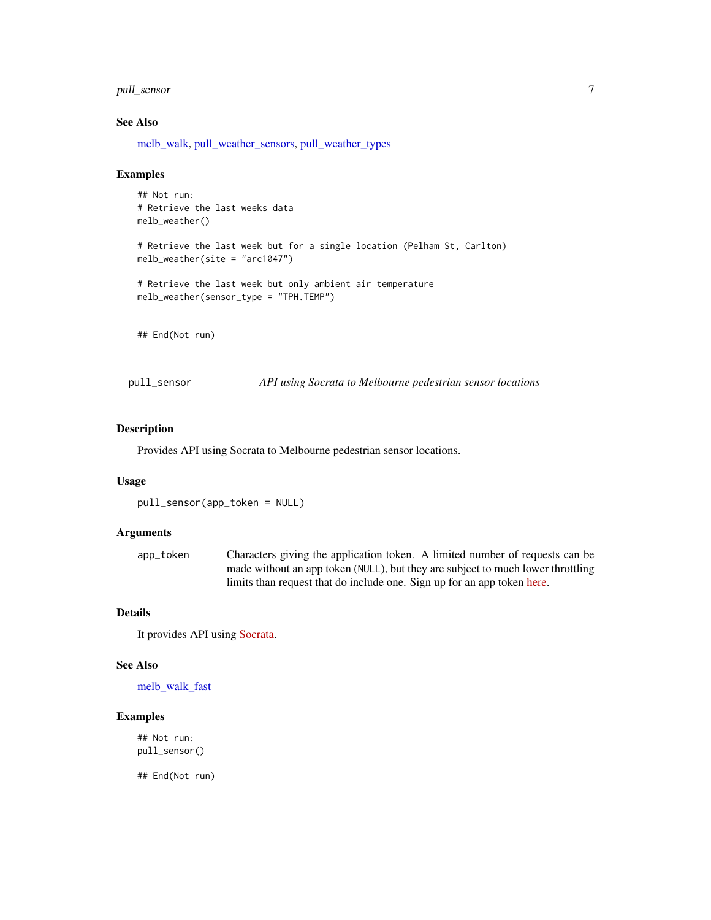#### <span id="page-6-0"></span>pull\_sensor 7

#### See Also

[melb\\_walk,](#page-1-1) [pull\\_weather\\_sensors,](#page-7-1) [pull\\_weather\\_types](#page-7-2)

#### Examples

## Not run: # Retrieve the last weeks data melb\_weather() # Retrieve the last week but for a single location (Pelham St, Carlton) melb\_weather(site = "arc1047") # Retrieve the last week but only ambient air temperature melb\_weather(sensor\_type = "TPH.TEMP")

## End(Not run)

<span id="page-6-1"></span>pull\_sensor *API using Socrata to Melbourne pedestrian sensor locations*

#### Description

Provides API using Socrata to Melbourne pedestrian sensor locations.

#### Usage

pull\_sensor(app\_token = NULL)

#### Arguments

app\_token Characters giving the application token. A limited number of requests can be made without an app token (NULL), but they are subject to much lower throttling limits than request that do include one. Sign up for an app token [here.](https://data.melbourne.vic.gov.au/profile/app_tokens)

#### Details

It provides API using [Socrata.](https://data.melbourne.vic.gov.au/resource/h57g-5234)

#### See Also

[melb\\_walk\\_fast](#page-3-1)

#### Examples

## Not run: pull\_sensor()

## End(Not run)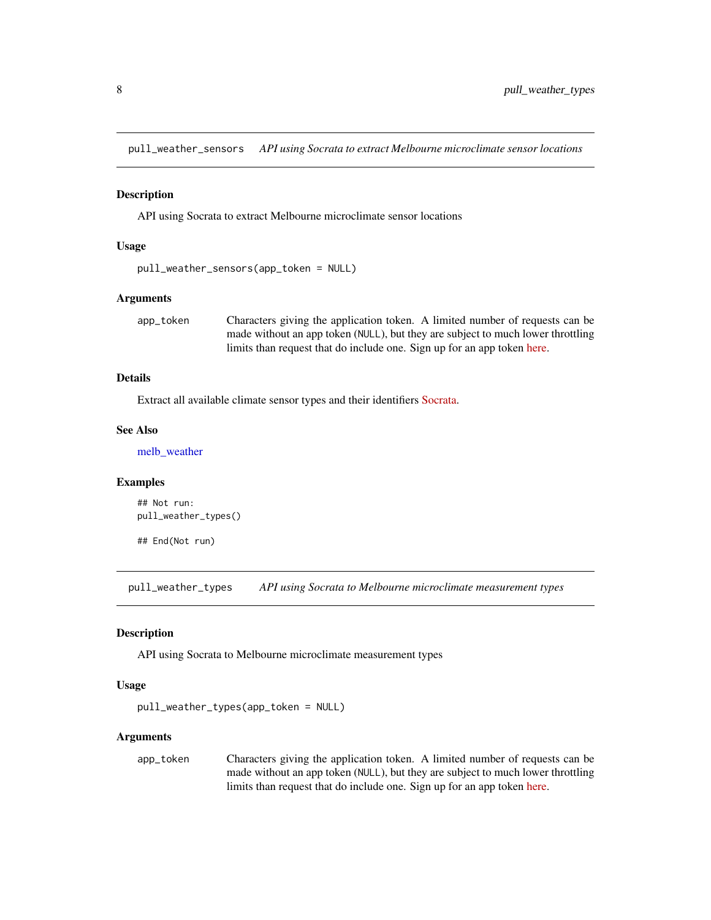<span id="page-7-1"></span><span id="page-7-0"></span>pull\_weather\_sensors *API using Socrata to extract Melbourne microclimate sensor locations*

#### Description

API using Socrata to extract Melbourne microclimate sensor locations

#### Usage

```
pull_weather_sensors(app_token = NULL)
```
#### Arguments

app\_token Characters giving the application token. A limited number of requests can be made without an app token (NULL), but they are subject to much lower throttling limits than request that do include one. Sign up for an app token [here.](https://data.melbourne.vic.gov.au/profile/app_tokens)

#### Details

Extract all available climate sensor types and their identifiers [Socrata.](https://dev.socrata.com/foundry/data.melbourne.vic.gov.au/irqv-hjr4)

#### See Also

[melb\\_weather](#page-5-1)

#### Examples

## Not run: pull\_weather\_types()

## End(Not run)

<span id="page-7-2"></span>pull\_weather\_types *API using Socrata to Melbourne microclimate measurement types*

#### Description

API using Socrata to Melbourne microclimate measurement types

#### Usage

```
pull_weather_types(app_token = NULL)
```
#### Arguments

app\_token Characters giving the application token. A limited number of requests can be made without an app token (NULL), but they are subject to much lower throttling limits than request that do include one. Sign up for an app token [here.](https://data.melbourne.vic.gov.au/profile/app_tokens)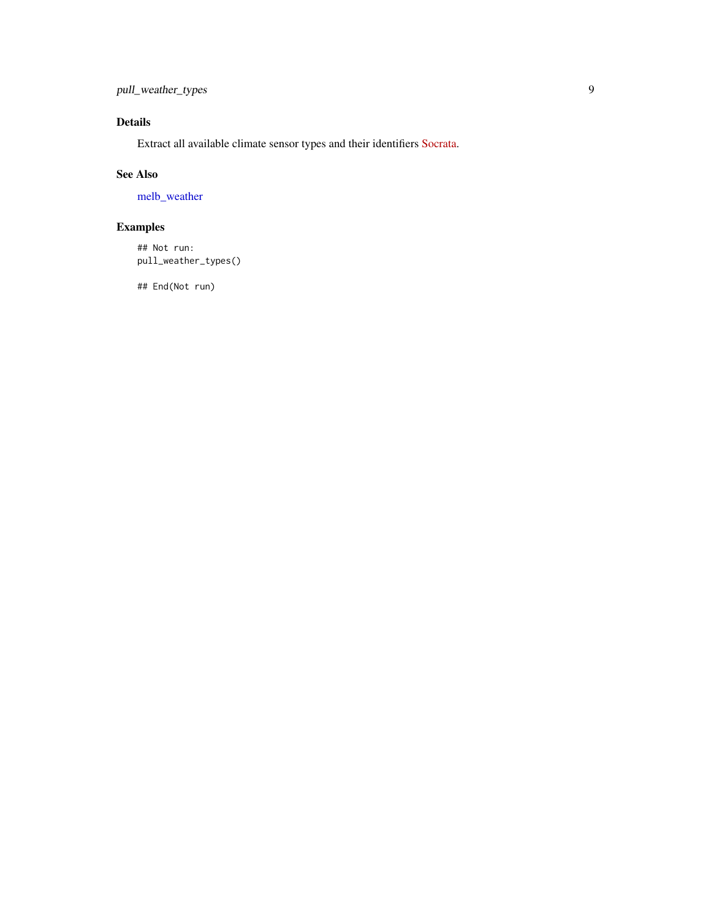<span id="page-8-0"></span>pull\_weather\_types 9

#### Details

Extract all available climate sensor types and their identifiers [Socrata.](https://dev.socrata.com/foundry/data.melbourne.vic.gov.au/u4vh-84j8)

#### See Also

[melb\\_weather](#page-5-1)

### Examples

## Not run: pull\_weather\_types()

## End(Not run)